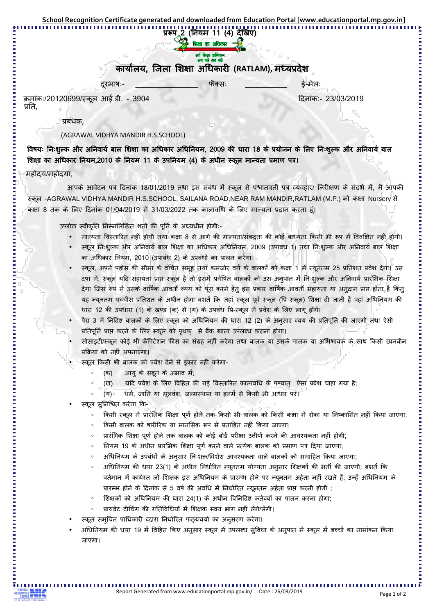## प्ररूप 2 (नियम 11 (4) देखिए) ाक्षा का अधिकार

## कार्यालय, जिला शिक्षा अधिकारी (RATLAM), मध्यप्रदेश

ǗȡȬ'''''''''''''''ȰÈ Ȭ''''''''''\_ȯȬ

ĐȡȲȬèǗ]\_Ȣ ǑȡȲ प्रति,

प्रबंधक.

## (AGRAWAL VIDHYA MANDIR H.S.SCHOOL)

विषयः निःशुल्क और अनिवार्य बाल शिक्षा का अधिकार अधिनियम, 2009 की धारा 18 के प्रयोजन के लिए निःशुल्क और अनिवार्य बाल शिक्षा का अधिकार नियम,2010 के नियम 11 के उपनियम (4) के अधीन स्कूल मान्यता प्रमाण पत्र।

## महोदय/महोदया.

आपके आवेदन पत्र दिनांक 18/01/2019 तथा इस संबंध में स्कूल से पश्चातवर्ती पत्र व्यवहार/ निरीक्षण के संदर्भ में, मैं आपकी स्कूल -AGRAWAL VIDHYA MANDIR H.S.SCHOOL, SAILANA ROAD,NEAR RAM MANDIR,RATLAM (M.P.) को कक्षा Nursery से कक्षा 8 तक के लिए दिनांक 01/04/2019 से 31/03/2022 तक कालावधि के लिए मान्यता प्रदान करता हूं।

उपरोक्त स्वीकृति निम्नलिखित शर्तों की पूर्ति के अध्यधीन होगी:-

- मान्यता विस्तारित नहीं होगी तथा कक्षा 8 से आगे की मान्यता/संबद्धता की कोई बाध्यता किसी भी रूप में विवक्षित नहीं होगी।
- स्कूल निःशुल्क और अनिवार्य बाल शिक्षा का अधिकार अधिनियम, 2009 (उपाबंध 1) तथा निःशुल्क और अनिवार्य बाल शिक्षा का अधिकार नियम, 2010 (उपाबंध 2) के उपबंधों का पालन करेगा।
- स्कूल, अपने पड़ोस की सीमा के वंचित समूह तथा कमजोर वर्ग के बालकों को कक्षा 1 में न्यूनतम 25 प्रतिशत प्रवेश देगा। उस दषा में, स्कल यदि सहायता प्राप्त स्कल है तो इसमें प्रवेषित बालकों को उस अनुपात में निःशुल्क और अनिवार्य प्रारंभिक शिक्षा देगा जिस रूप में उसके वार्षिक आवर्ती व्यय को पूरा करने हेतू इस प्रकार वार्षिक आवर्ती सहायता या अनुदान प्राप्त होता है किंतू यह न्यूनतम पच्चीस प्रतिशत के अधीन होगा बशतें कि जहां स्कूल पूर्व स्कूल (प्रि स्कूल) शिक्षा दी जाती है वहां अधिनियम की धारा 12 की उपधारा (1) के खण्ड (क) से (ग) के उपबंध प्रि-स्कूल में प्रवेश के लिए लागू होगे।
- पैरा 3 में निर्दिष्ट बालकों के लिए स्कूल को अधिनियम की धारा 12 (2) के अनुसार व्यय की प्रतिपूर्ति की जाएगी तथा ऐसी प्रतिपूर्ति प्राप्त करने के लिए स्कूल को पृथक् से बैंक खाता उपलब्ध कराना होगा।
- सोसाइटी/स्कूल कोई भी कैंपिटेशन फीस का संग्रह नहीं करेगा तथा बालक या उसके पालक या अभिभावक के साथ किसी छानबीन प्रक्रिया को नहीं अपनाएगा।
- स्कूल किसी भी बालक को प्रवेश देने से इंकार नहीं करेगा-
	- (क) आयु के सबूत के अभाव में:
	- $(\overline{v})$ यदि प्रवेश के लिए विहित की गई विस्तारित कालावधि के पष्चात ऐसा प्रवेश चाहा गया है:
	- $(T)$ धर्म, जाति या मुलवंश, जन्मस्थान या इनमें से किसी भी आधार पर।
- स्कूल सुनिश्चित करेगा कि-
	- ॰ किसी स्कूल में प्रारंभिक शिक्षा पूर्ण होने तक किसी भी बालक को किसी कक्षा में रोका या निष्कासित नहीं किया जाएगा;
	- किसी बालक को षारीरिक या मानसिक रूप से प्रताड़ित नहीं किया जाएगा;
	- प्रारंभिक शिक्षा पूर्ण होने तक बालक को कोई बोर्ड परीक्षा उत्तीर्ण करने की आवश्यकता नहीं होगी;
	- त्रियम 19 के अधीन प्रारंभिक शिक्षा पूर्ण करने वाले प्रत्येक बालक को प्रमाण पत्र दिया जाएगा;
	- अधिनियम के उपबंधों के अनुसार निःशक्त/विशेश आवश्यकता वाले बालकों को समाहित किया जाएगा;
	- ॰ अधिनियम की धारा 23(1) के अधीन निर्धारित न्यूनतम योग्यता अनुसार शिक्षकों की भर्ती की जाएगी; बशर्तें कि वर्तमान में कार्यरत जो शिक्षक इस अधिनियम के प्रारम्भ होने पर न्युनतम अर्हता नहीं रखते हैं, उन्हें अधिनियम के प्रारम्भ होने के दिनांक से 5 वर्ष की अवधि में निर्धारित न्यूनतम अर्हता प्राप्त करनी होगी ;
	- 。 शिक्षकों को अधिनियम की धारा 24(1) के अधीन विनिर्दिष्ट कर्तव्यों का पालन करना होगा;
	- प्रायवेट टीचिंग की गतिविधियों में शिक्षक स्वयं भाग नहीं लेंगे/लेंगी।
- स्कूल समुचित प्राधिकारी व्दारा निर्धारित पाठ्यचर्या का अनुसरण करेगा।
- अधिनियम की धारा 19 में विहित किए अनुसार स्कूल में उपलब्ध सुविधा के अनुपात में स्कूल में बच्चों का नामांकन किया जाएगा।